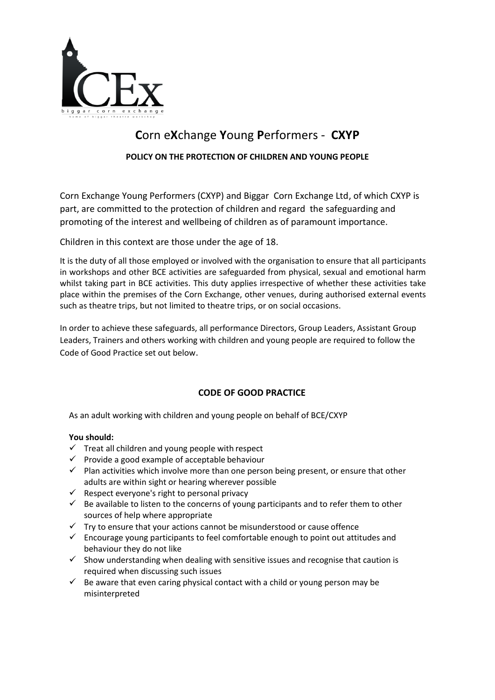

# **C**orn e**X**change **Y**oung **P**erformers - **CXYP**

## **POLICY ON THE PROTECTION OF CHILDREN AND YOUNG PEOPLE**

Corn Exchange Young Performers (CXYP) and Biggar Corn Exchange Ltd, of which CXYP is part, are committed to the protection of children and regard the safeguarding and promoting of the interest and wellbeing of children as of paramount importance.

Children in this context are those under the age of 18.

It is the duty of all those employed or involved with the organisation to ensure that all participants in workshops and other BCE activities are safeguarded from physical, sexual and emotional harm whilst taking part in BCE activities. This duty applies irrespective of whether these activities take place within the premises of the Corn Exchange, other venues, during authorised external events such as theatre trips, but not limited to theatre trips, or on social occasions.

In order to achieve these safeguards, all performance Directors, Group Leaders, Assistant Group Leaders, Trainers and others working with children and young people are required to follow the Code of Good Practice set out below.

# **CODE OF GOOD PRACTICE**

As an adult working with children and young people on behalf of BCE/CXYP

## **You should:**

- $\checkmark$  Treat all children and young people with respect
- $\checkmark$  Provide a good example of acceptable behaviour
- $\checkmark$  Plan activities which involve more than one person being present, or ensure that other adults are within sight or hearing wherever possible
- $\checkmark$  Respect everyone's right to personal privacy
- $\checkmark$  Be available to listen to the concerns of young participants and to refer them to other sources of help where appropriate
- $\checkmark$  Try to ensure that your actions cannot be misunderstood or cause offence
- $\checkmark$  Encourage young participants to feel comfortable enough to point out attitudes and behaviour they do not like
- $\checkmark$  Show understanding when dealing with sensitive issues and recognise that caution is required when discussing such issues
- $\checkmark$  Be aware that even caring physical contact with a child or young person may be misinterpreted